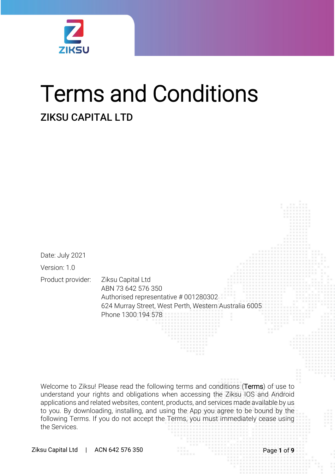

# Terms and Conditions ZIKSU CAPITAL LTD

Date: July 2021 Version: 1.0 Product provider: Ziksu Capital Ltd

ABN 73 642 576 350 Authorised representative # 001280302 624 Murray Street, West Perth, Western Australia 6005 Phone 1300 194 578

Welcome to Ziksu! Please read the following terms and conditions (Terms) of use to understand your rights and obligations when accessing the Ziksu IOS and Android applications and related websites, content, products, and services made available by us to you. By downloading, installing, and using the App you agree to be bound by the following Terms. If you do not accept the Terms, you must immediately cease using the Services.

Ziksu Capital Ltd | ACN 642 576 350 Ziksu Capital Ltd | ACN 642 576 350 Page **1** of **9**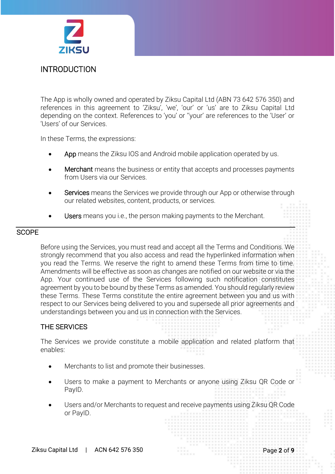

The App is wholly owned and operated by Ziksu Capital Ltd (ABN 73 642 576 350) and references in this agreement to 'Ziksu', 'we', 'our' or 'us' are to Ziksu Capital Ltd depending on the context. References to 'you' or ''your' are references to the 'User' or 'Users' of our Services.

In these Terms, the expressions:

- App means the Ziksu IOS and Android mobile application operated by us.
- **Merchant** means the business or entity that accepts and processes payments from Users via our Services.
- **Services** means the Services we provide through our App or otherwise through our related websites, content, products, or services.
- Users means you i.e., the person making payments to the Merchant.

### **SCOPE**

Before using the Services, you must read and accept all the Terms and Conditions. We strongly recommend that you also access and read the hyperlinked information when you read the Terms. We reserve the right to amend these Terms from time to time. Amendments will be effective as soon as changes are notified on our website or via the App. Your continued use of the Services following such notification constitutes agreement by you to be bound by these Terms as amended. You should regularly review these Terms. These Terms constitute the entire agreement between you and us with respect to our Services being delivered to you and supersede all prior agreements and understandings between you and us in connection with the Services.

# THE SERVICES

The Services we provide constitute a mobile application and related platform that enables:

- Merchants to list and promote their businesses.
- Users to make a payment to Merchants or anyone using Ziksu QR Code or PayID.
- Users and/or Merchants to request and receive payments using Ziksu QR Code or PayID.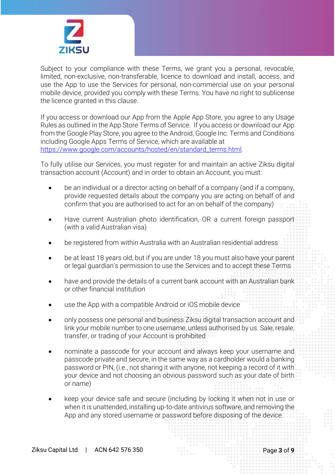

Subject to your compliance with these Terms, we grant you a personal, revocable, limited, non-exclusive, non-transferable, licence to download and install, access, and use the App to use the Services for personal, non-commercial use on your personal mobile device, provided you comply with these Terms. You have no right to sublicense the licence granted in this clause.

If you access or download our App from the Apple App Store, you agree to any Usage Rules as outlined in the App Store Terms of Service. If you access or download our App from the Google Play Store, you agree to the Android, Google Inc. Terms and Conditions including Google Apps Terms of Service, which are available at [https://www.google.com/accounts/hosted/en/standard\\_terms.html.](https://www.google.com/accounts/hosted/en/standard_terms.html)

To fully utilise our Services, you must register for and maintain an active Ziksu digital transaction account (Account) and in order to obtain an Account, you must:

- be an individual or a director acting on behalf of a company (and if a company, provide requested details about the company you are acting on behalf of and confirm that you are authorised to act for an on behalf of the company)
- Have current Australian photo identification, OR a current foreign passport (with a valid Australian visa)
- be registered from within Australia with an Australian residential address
- be at least 18 years old, but if you are under 18 you must also have your parent or legal guardian's permission to use the Services and to accept these Terms
- have and provide the details of a current bank account with an Australian bank or other financial institution
- use the App with a compatible Android or iOS mobile device
- only possess one personal and business Ziksu digital transaction account and link your mobile number to one username, unless authorised by us. Sale, resale, transfer, or trading of your Account is prohibited
- nominate a passcode for your account and always keep your username and passcode private and secure, in the same way as a cardholder would a banking password or PIN, (i.e., not sharing it with anyone, not keeping a record of it with your device and not choosing an obvious password such as your date of birth or name)
- keep your device safe and secure (including by locking it when not in use or when it is unattended, installing up-to-date antivirus software, and removing the App and any stored username or password before disposing of the device.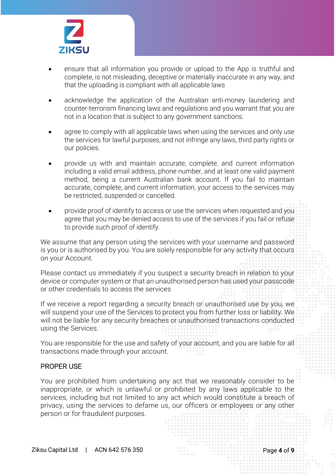

- ensure that all information you provide or upload to the App is truthful and complete, is not misleading, deceptive or materially inaccurate in any way, and that the uploading is compliant with all applicable laws
- acknowledge the application of the Australian anti-money laundering and counter-terrorism financing laws and regulations and you warrant that you are not in a location that is subject to any government sanctions.
- agree to comply with all applicable laws when using the services and only use the services for lawful purposes, and not infringe any laws, third party rights or our policies.
- provide us with and maintain accurate, complete, and current information including a valid email address, phone number, and at least one valid payment method, being a current Australian bank account. If you fail to maintain accurate, complete, and current information, your access to the services may be restricted, suspended or cancelled.
- provide proof of identify to access or use the services when requested and you agree that you may be denied access to use of the services if you fail or refuse to provide such proof of identify.

We assume that any person using the services with your username and password is you or is authorised by you. You are solely responsible for any activity that occurs on your Account.

Please contact us immediately if you suspect a security breach in relation to your device or computer system or that an unauthorised person has used your passcode or other credentials to access the services

If we receive a report regarding a security breach or unauthorised use by you, we will suspend your use of the Services to protect you from further loss or liability. We will not be liable for any security breaches or unauthorised transactions conducted using the Services.

You are responsible for the use and safety of your account, and you are liable for all transactions made through your account.

# PROPER USE

You are prohibited from undertaking any act that we reasonably consider to be inappropriate, or which is unlawful or prohibited by any laws applicable to the services, including but not limited to any act which would constitute a breach of privacy, using the services to defame us, our officers or employees or any other person or for fraudulent purposes.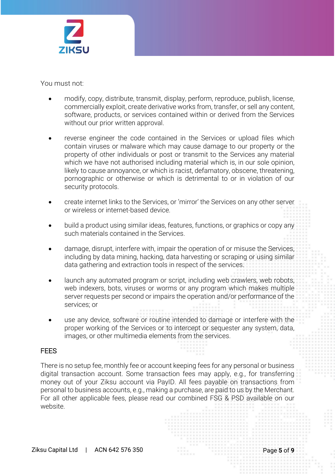

You must not:

- modify, copy, distribute, transmit, display, perform, reproduce, publish, license, commercially exploit, create derivative works from, transfer, or sell any content, software, products, or services contained within or derived from the Services without our prior written approval.
- reverse engineer the code contained in the Services or upload files which contain viruses or malware which may cause damage to our property or the property of other individuals or post or transmit to the Services any material which we have not authorised including material which is, in our sole opinion, likely to cause annoyance, or which is racist, defamatory, obscene, threatening, pornographic or otherwise or which is detrimental to or in violation of our security protocols.
- create internet links to the Services, or 'mirror' the Services on any other server or wireless or internet-based device.
- build a product using similar ideas, features, functions, or graphics or copy any such materials contained in the Services.
- damage, disrupt, interfere with, impair the operation of or misuse the Services, including by data mining, hacking, data harvesting or scraping or using similar data gathering and extraction tools in respect of the services.
- launch any automated program or script, including web crawlers, web robots, web indexers, bots, viruses or worms or any program which makes multiple server requests per second or impairs the operation and/or performance of the services; or
- use any device, software or routine intended to damage or interfere with the proper working of the Services or to intercept or sequester any system, data, images, or other multimedia elements from the services.

# **FFFS**

There is no setup fee, monthly fee or account keeping fees for any personal or business digital transaction account. Some transaction fees may apply, e.g., for transferring money out of your Ziksu account via PayID. All fees payable on transactions from personal to business accounts, e.g., making a purchase, are paid to us by the Merchant. For all other applicable fees, please read our combined FSG & PSD available on our website.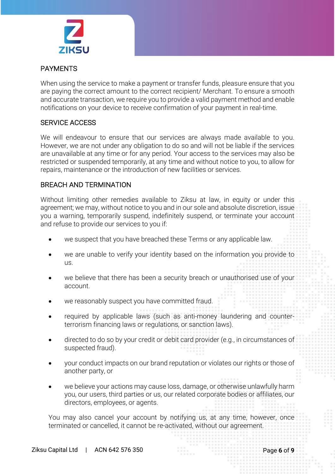

# PAYMENTS

When using the service to make a payment or transfer funds, pleasure ensure that you are paying the correct amount to the correct recipient/ Merchant. To ensure a smooth and accurate transaction, we require you to provide a valid payment method and enable notifications on your device to receive confirmation of your payment in real-time.

# SERVICE ACCESS

We will endeavour to ensure that our services are always made available to you. However, we are not under any obligation to do so and will not be liable if the services are unavailable at any time or for any period. Your access to the services may also be restricted or suspended temporarily, at any time and without notice to you, to allow for repairs, maintenance or the introduction of new facilities or services.

# BREACH AND TERMINATION

Without limiting other remedies available to Ziksu at law, in equity or under this agreement; we may, without notice to you and in our sole and absolute discretion, issue you a warning, temporarily suspend, indefinitely suspend, or terminate your account and refuse to provide our services to you if:

- we suspect that you have breached these Terms or any applicable law.
- we are unable to verify your identity based on the information you provide to us.
- we believe that there has been a security breach or unauthorised use of your account.
- we reasonably suspect you have committed fraud.
- required by applicable laws (such as anti-money laundering and counterterrorism financing laws or regulations, or sanction laws).
- directed to do so by your credit or debit card provider (e.g., in circumstances of suspected fraud).
- your conduct impacts on our brand reputation or violates our rights or those of another party, or
- we believe your actions may cause loss, damage, or otherwise unlawfully harm you, our users, third parties or us, our related corporate bodies or affiliates, our directors, employees, or agents.

You may also cancel your account by notifying us, at any time, however, once terminated or cancelled, it cannot be re-activated, without our agreement.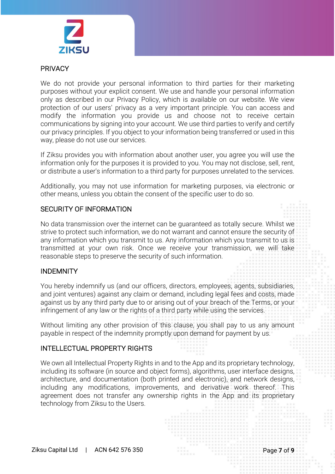

#### PRIVACY

We do not provide your personal information to third parties for their marketing purposes without your explicit consent. We use and handle your personal information only as described in our Privacy Policy, which is available on our website. We view protection of our users' privacy as a very important principle. You can access and modify the information you provide us and choose not to receive certain communications by signing into your account. We use third parties to verify and certify our privacy principles. If you object to your information being transferred or used in this way, please do not use our services.

If Ziksu provides you with information about another user, you agree you will use the information only for the purposes it is provided to you. You may not disclose, sell, rent, or distribute a user's information to a third party for purposes unrelated to the services.

Additionally, you may not use information for marketing purposes, via electronic or other means, unless you obtain the consent of the specific user to do so.

# SECURITY OF INFORMATION

No data transmission over the internet can be guaranteed as totally secure. Whilst we strive to protect such information, we do not warrant and cannot ensure the security of any information which you transmit to us. Any information which you transmit to us is transmitted at your own risk. Once we receive your transmission, we will take reasonable steps to preserve the security of such information.

# INDEMNITY

You hereby indemnify us (and our officers, directors, employees, agents, subsidiaries, and joint ventures) against any claim or demand, including legal fees and costs, made against us by any third party due to or arising out of your breach of the Terms, or your infringement of any law or the rights of a third party while using the services.

Without limiting any other provision of this clause, you shall pay to us any amount payable in respect of the indemnity promptly upon demand for payment by us.

#### INTELLECTUAL PROPERTY RIGHTS

We own all Intellectual Property Rights in and to the App and its proprietary technology, including its software (in source and object forms), algorithms, user interface designs, architecture, and documentation (both printed and electronic), and network designs, including any modifications, improvements, and derivative work thereof. This agreement does not transfer any ownership rights in the App and its proprietary technology from Ziksu to the Users.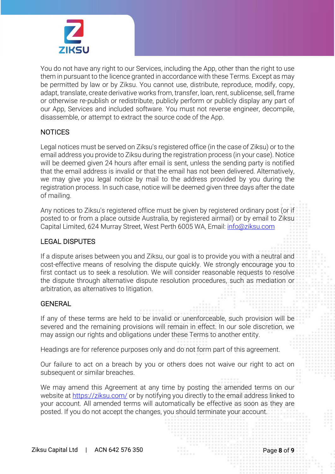

You do not have any right to our Services, including the App, other than the right to use them in pursuant to the licence granted in accordance with these Terms. Except as may be permitted by law or by Ziksu. You cannot use, distribute, reproduce, modify, copy, adapt, translate, create derivative works from, transfer, loan, rent, sublicense, sell, frame or otherwise re-publish or redistribute, publicly perform or publicly display any part of our App, Services and included software. You must not reverse engineer, decompile, disassemble, or attempt to extract the source code of the App.

# **NOTICES**

Legal notices must be served on Ziksu's registered office (in the case of Ziksu) or to the email address you provide to Ziksu during the registration process (in your case). Notice will be deemed given 24 hours after email is sent, unless the sending party is notified that the email address is invalid or that the email has not been delivered. Alternatively, we may give you legal notice by mail to the address provided by you during the registration process. In such case, notice will be deemed given three days after the date of mailing.

Any notices to Ziksu's registered office must be given by registered ordinary post (or if posted to or from a place outside Australia, by registered airmail) or by email to Ziksu Capital Limited, 624 Murray Street, West Perth 6005 WA, Email: [info@ziksu.com](mailto:info@ziksu.com)

# LEGAL DISPUTES

If a dispute arises between you and Ziksu, our goal is to provide you with a neutral and cost-effective means of resolving the dispute quickly. We strongly encourage you to first contact us to seek a resolution. We will consider reasonable requests to resolve the dispute through alternative dispute resolution procedures, such as mediation or arbitration, as alternatives to litigation.

#### GENERAL

If any of these terms are held to be invalid or unenforceable, such provision will be severed and the remaining provisions will remain in effect. In our sole discretion, we may assign our rights and obligations under these Terms to another entity.

Headings are for reference purposes only and do not form part of this agreement.

Our failure to act on a breach by you or others does not waive our right to act on subsequent or similar breaches.

We may amend this Agreement at any time by posting the amended terms on our website at <https://ziksu.com/> or by notifying you directly to the email address linked to your account. All amended terms will automatically be effective as soon as they are posted. If you do not accept the changes, you should terminate your account.